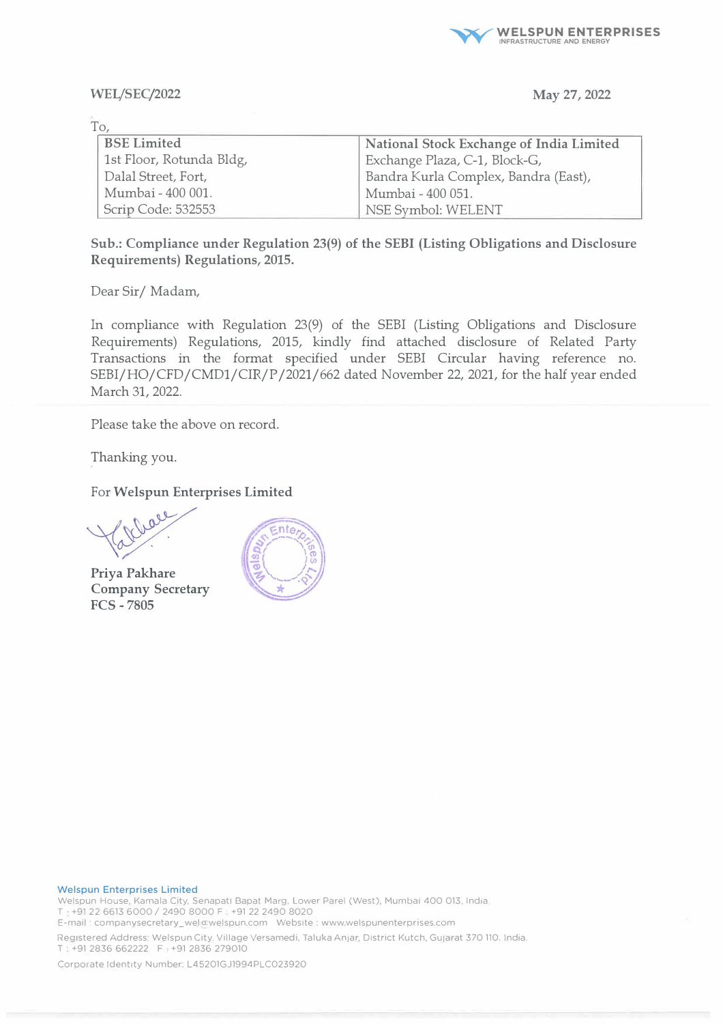

## **WEI/SEC/2022**

## **May 27, 2022**

| To                       |                                          |
|--------------------------|------------------------------------------|
| <b>BSE Limited</b>       | National Stock Exchange of India Limited |
| 1st Floor, Rotunda Bldg, | Exchange Plaza, C-1, Block-G,            |
| Dalal Street, Fort,      | Bandra Kurla Complex, Bandra (East),     |
| Mumbai - 400 001.        | Mumbai - 400 051.                        |
| Scrip Code: 532553       | NSE Symbol: WELENT                       |

**Sub.: Compliance under Regulation 23(9) of the SEBI (Listing Obligations and Disclosure Requirements) Regulations, 2015.** 

Dear Sir/ Madam,

**In** compliance with Regulation 23(9) of the SEBI (Listing Obligations and Disclosure Requirements) Regulations, 2015, kindly find attached disclosure of Related Party Transactions in the format specified under SEBI Circular having reference no. SEBI/HO/CFD/CMD1/CIR/P /2021/662 dated November 22, 2021, for the half year ended March 31, 2022.

Please take the above on record.

Thanking you.

For **Welspun Enterprises Limited** 

all

**Priya Pakhare Company Secretary FCS-7805** 



## **Welspun Enterprises Limited**

Welspun House, Kamala City, Senapati Bapat Marg. Lower Parel (West), Mumbai 400 013, India T +91 22 6613 6000 / 2490 8000 F : +91 22 2490 8020 E-mail: companysecretary\_wel a:welspun.com Website: www.welspunenterprises.com

Registered Address: Welspun City, Village Versamedi, Taluka Anjar, District Kutch, GuJarat 370 110. India. T : +91 2836 662222 F . +91 2836 279010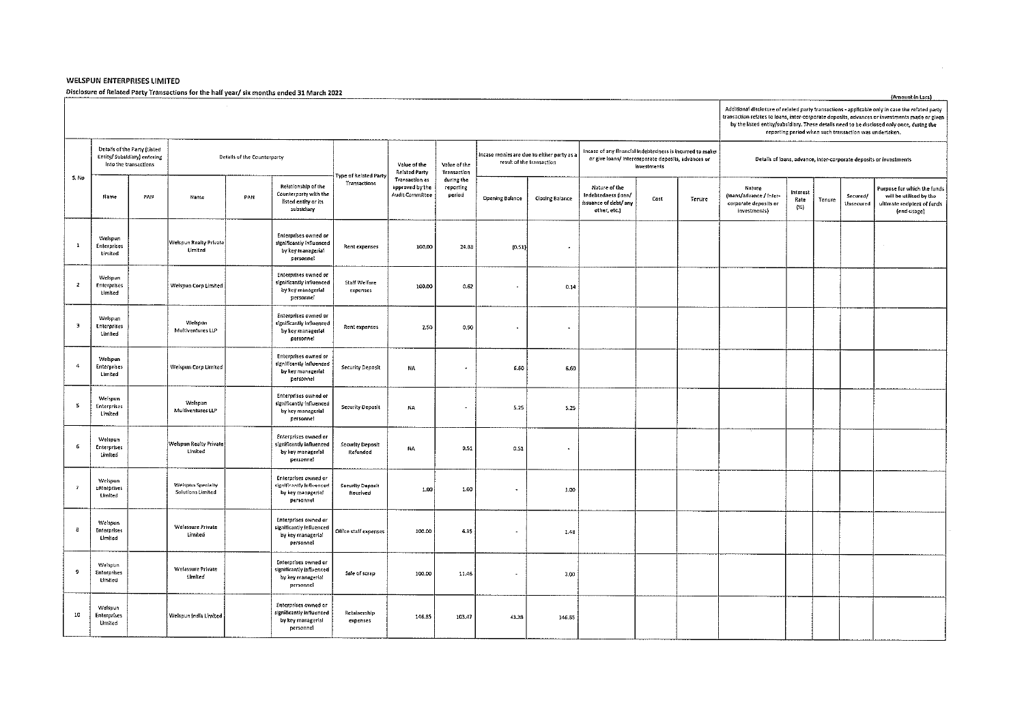## **WELSPUN ENTERPRISES LIMITED**

Disclosure of Related Party Transactions for the half year/ six months ended 31 March 2022

|                |                                                                                       |     |                                        |                             |                                                                                           |                                      |                                                             |                                   |                                                                         |                        |                                                                                                                                |      |        |                                                                            | Additional disclosure of related party transactions - applicable only in case the related party<br>transaction relates to loans, inter-corporate deposits, advances or investments made or given<br>by the listed entity/subsidiary. These details need to be disclosed only once, during the<br>reporting period when such transaction was undertaken. |        |                       |                                                                                                      |  |  |  |
|----------------|---------------------------------------------------------------------------------------|-----|----------------------------------------|-----------------------------|-------------------------------------------------------------------------------------------|--------------------------------------|-------------------------------------------------------------|-----------------------------------|-------------------------------------------------------------------------|------------------------|--------------------------------------------------------------------------------------------------------------------------------|------|--------|----------------------------------------------------------------------------|---------------------------------------------------------------------------------------------------------------------------------------------------------------------------------------------------------------------------------------------------------------------------------------------------------------------------------------------------------|--------|-----------------------|------------------------------------------------------------------------------------------------------|--|--|--|
|                | Details of the Party (Listed<br>Entity/ Subsidiary) entering<br>into the transactions |     |                                        | Details of the Counterparty |                                                                                           |                                      | Value of the<br><b>Related Party</b>                        | Value of the<br>Transaction       | incase monies are due to either party as a<br>result of the transaction |                        | Incase of any financial indebtedness is incurred to make<br>or give loans/ intercorporate deposits, advances or<br>investments |      |        | Details of loans, advance, inter-corporate deposits or investments         |                                                                                                                                                                                                                                                                                                                                                         |        |                       |                                                                                                      |  |  |  |
| S. No          | <b>Hame</b>                                                                           | PAN | Name                                   | PAN                         | Relationship of the<br>Counterparty with the<br>listed entity or its<br>subsidiary        | ype of Related Party<br>Transactions | <b>Transaction as</b><br>approved by the<br>Audit Committee | during the<br>reporting<br>period | <b>Opening Balance</b>                                                  | <b>Closing Balance</b> | Nature of the<br>Indebtedness (loan/<br>ssuance of debt/ any<br>other, etc.)                                                   | Cost | Tenure | Nature<br>(loans/advance / Inter-<br>corporate deposits or<br>investments) | Interest<br>Rate<br>$($ %)                                                                                                                                                                                                                                                                                                                              | Tenure | Secured/<br>Unsecured | Purpose for which the funds<br>will be utilised by the<br>ultimate recipient of funds<br>(end-usage) |  |  |  |
| $\mathbf{1}$   | Welspun<br>Enterprises<br>Limited                                                     |     | Welspun Realty Private<br>Limited      |                             | <b>Enterprises owned or</b><br>significantly influenced<br>by key managerial<br>personnel | Rent expenses                        | 100.00                                                      | 24.88                             | [0, 51]                                                                 |                        |                                                                                                                                |      |        |                                                                            |                                                                                                                                                                                                                                                                                                                                                         |        |                       | $\sim$                                                                                               |  |  |  |
| $\overline{z}$ | Weispun<br>Enterprises<br>Hmited                                                      |     | Welspun Corp Limited                   |                             | Enterprises owned or<br>significantly influenced<br>by key managerial<br>personnel        | Staff Welfare<br>expenses            | 100.00                                                      | 0.62                              | $\bullet$                                                               | 0.14                   |                                                                                                                                |      |        |                                                                            |                                                                                                                                                                                                                                                                                                                                                         |        |                       |                                                                                                      |  |  |  |
| $\,$ 3         | Welspun<br>Enterorises<br>Limited                                                     |     | Weispun<br>Multiventures LLP           |                             | Enterprises owned or<br>significantly influenced<br>by key managerial<br>personnel        | Rent expenses                        | 2.50                                                        | 0.90                              | $\bullet$                                                               | $\sim$                 |                                                                                                                                |      |        |                                                                            |                                                                                                                                                                                                                                                                                                                                                         |        |                       |                                                                                                      |  |  |  |
| $\ddot{ }$     | Welsoun<br><b>Enterprises</b><br>Limited                                              |     | Weispun Corp Limited                   |                             | Enterprises owned or<br>significantly influenced<br>by key managerfal<br>personnel        | Security Deposit                     | NA                                                          | $\bullet$                         | 6.60                                                                    | 6.60                   |                                                                                                                                |      |        |                                                                            |                                                                                                                                                                                                                                                                                                                                                         |        |                       |                                                                                                      |  |  |  |
| $\mathbf S$    | Weispun<br>Enterprises<br>Limited                                                     |     | Welsoun<br>Multiventures LLP           |                             | Enterprises owned or<br>significantly influenced<br>by key managerial<br>personnel        | Security Deposit                     | NA                                                          | $\overline{\phantom{a}}$          | 5.25                                                                    | 5.25                   |                                                                                                                                |      |        |                                                                            |                                                                                                                                                                                                                                                                                                                                                         |        |                       |                                                                                                      |  |  |  |
| $\epsilon$     | Welspun<br>Enterprises<br>Limited                                                     |     | Welspun Realty Private<br>Limited      |                             | Enterprises owned or<br>significantly influenced<br>by key managerial<br>personnel        | Security Deposit<br>Refunded         | NA                                                          | 0.51                              | 0.51                                                                    | $\Delta$               |                                                                                                                                |      |        |                                                                            |                                                                                                                                                                                                                                                                                                                                                         |        |                       |                                                                                                      |  |  |  |
| $\overline{7}$ | Weispun<br><b>Enterprises</b><br>Limited                                              |     | Weispun Specialty<br>Solutions Limited |                             | Enterprises owned or<br>significantly influenced<br>by key managerial<br>personnel        | Security Deposit<br>Received         | 1,00                                                        | 1.00                              | $\blacksquare$                                                          | 1.00                   |                                                                                                                                |      |        |                                                                            |                                                                                                                                                                                                                                                                                                                                                         |        |                       |                                                                                                      |  |  |  |
|                | Velsoun<br>Enterprises<br>Limited                                                     |     | Welassure Private<br>Hmited            |                             | Enterprises owned or<br>significantly influenced<br>by key managerial<br>personnel        | Office staff expenses                | 100.00                                                      | 6.35                              | $\blacksquare$                                                          | 1.48                   |                                                                                                                                |      |        |                                                                            |                                                                                                                                                                                                                                                                                                                                                         |        |                       |                                                                                                      |  |  |  |
| 9              | Welsoun<br><b>Enterprises</b><br>Umited                                               |     | Welassure Private<br>Limited           |                             | Enterprises owned or<br>significantly influenced<br>by key managerial<br>personnel        | Sale of scrap                        | 100.00                                                      | 11.46                             | ٠                                                                       | 3.00                   |                                                                                                                                |      |        |                                                                            |                                                                                                                                                                                                                                                                                                                                                         |        |                       |                                                                                                      |  |  |  |
| 10             | Weispun<br><b>Enterprises</b><br>Umited                                               |     | Weispun India Limited                  |                             | Enterprises owned or<br>significantly influenced<br>by key managerial<br>personnel        | Retainership<br>expenses             | 146.85                                                      | 103.47                            | 43.38                                                                   | 146.85                 |                                                                                                                                |      |        |                                                                            |                                                                                                                                                                                                                                                                                                                                                         |        |                       |                                                                                                      |  |  |  |

(Amount in Lacs)

 $\sim$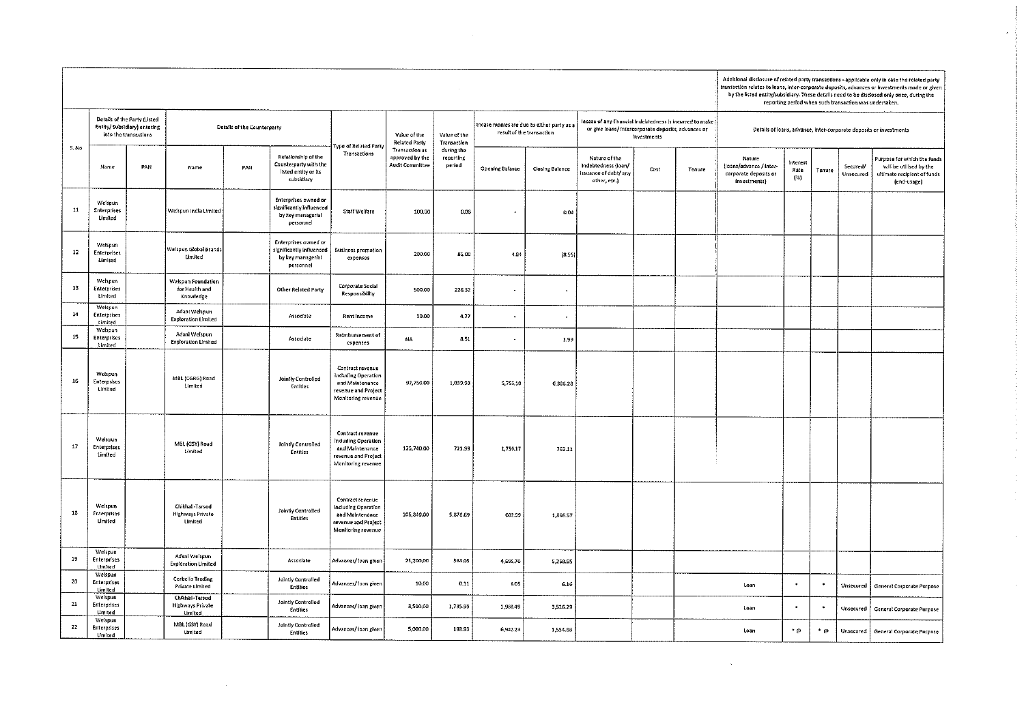|                 |                                                                                                                     |     |                                                              |                       |                                                                                    |                                                                                                                |                                                                         |                                   |                                                                                                                                |                 |                                                                               |      |        |                                                                            | Additional disclosure of related party transactions - applicable only in case the related party<br>transaction relates to loans, inter-corporate deposits, advances or investments made or given<br>by the listed entity/subsidiary. These details need to be disclosed only once, during the<br>reporting period when such transaction was undertaken. |        |                       |                                                                                                      |  |  |  |
|-----------------|---------------------------------------------------------------------------------------------------------------------|-----|--------------------------------------------------------------|-----------------------|------------------------------------------------------------------------------------|----------------------------------------------------------------------------------------------------------------|-------------------------------------------------------------------------|-----------------------------------|--------------------------------------------------------------------------------------------------------------------------------|-----------------|-------------------------------------------------------------------------------|------|--------|----------------------------------------------------------------------------|---------------------------------------------------------------------------------------------------------------------------------------------------------------------------------------------------------------------------------------------------------------------------------------------------------------------------------------------------------|--------|-----------------------|------------------------------------------------------------------------------------------------------|--|--|--|
|                 | Details of the Party (Listed<br>Enlity/Subsidiary) entering<br>Details of the Counterparty<br>into the transactions |     |                                                              | Type of Related Party | Value of the<br><b>Related Party</b>                                               | Value of the<br>Transaction                                                                                    | Incase monies are due to either party as a<br>result of the transaction |                                   | Incase of any financial indebtedness is incurred to make<br>or give loans/ intercorporate deposits, advances or<br>Investments |                 | Details of loans, advance, inter-corporate deposits or investments            |      |        |                                                                            |                                                                                                                                                                                                                                                                                                                                                         |        |                       |                                                                                                      |  |  |  |
| S. No           | Name                                                                                                                | PAN | Name                                                         | PAN                   | Relationship of the<br>Counterparty with the<br>listed entity or its<br>subsidiary | Transactions                                                                                                   | Transaction as<br>approved by the<br>Audit Committee                    | during the<br>reporting<br>period | <b>Opening Balance</b>                                                                                                         | Closing Balance | Nature of the<br>Indebtedness (loan/<br>issuance of debt/ any<br>other, etc.) | Cost | Tenure | Nature<br>(loans/advance / inter-<br>corporate deposits or<br>investments} | Interest<br>Rate<br>$\left\{ \gg\right\}$                                                                                                                                                                                                                                                                                                               | Tenure | Secured/<br>Unsecured | Purpose for which the funds<br>will be utilised by the<br>uitimate recipient of funds<br>(end-usage) |  |  |  |
| $11$            | Weispun<br>Enterprises<br>United                                                                                    |     | Welspun India Limited                                        |                       | Enterprises owned or<br>significantly influenced<br>by key managerial<br>personnel | Stan Welfare                                                                                                   | 100,00                                                                  | 0.08                              | $\overline{\phantom{a}}$                                                                                                       | 0.04            |                                                                               |      |        |                                                                            |                                                                                                                                                                                                                                                                                                                                                         |        |                       |                                                                                                      |  |  |  |
| 12 <sub>1</sub> | Welspun<br><b>Enterprises</b><br>Limited                                                                            |     | Weispun Global Brands<br>Limited                             |                       | Enterprises owned or<br>significantly influenced<br>by key managerial<br>personnel | <b>Business promotion</b><br>expenses                                                                          | 200.00                                                                  | 81.00                             | 4.84                                                                                                                           | (8.55)          |                                                                               |      |        |                                                                            |                                                                                                                                                                                                                                                                                                                                                         |        |                       |                                                                                                      |  |  |  |
| 13              | Welspun<br>Enterprises<br>Limited                                                                                   |     | Welspun Foundation<br>for Health and<br>Knowledge            |                       | Other Related Party                                                                | Corporate Social<br>Responsibility                                                                             | 500.00                                                                  | 226.32                            | $\cdot$                                                                                                                        | ٠               |                                                                               |      |        |                                                                            |                                                                                                                                                                                                                                                                                                                                                         |        |                       |                                                                                                      |  |  |  |
| 14              | Weispun<br><b>Enterprises</b><br>Limited                                                                            |     | Adani Welspun<br><b>Exploration Limited</b>                  |                       | Associate                                                                          | <b>Rent Income</b>                                                                                             | 10.00                                                                   | 4,77                              |                                                                                                                                |                 |                                                                               |      |        |                                                                            |                                                                                                                                                                                                                                                                                                                                                         |        |                       |                                                                                                      |  |  |  |
| $15 -$          | Welspun<br><b>Enterprises</b><br>Limited                                                                            |     | Adani Weispun<br><b>Exploration Limited</b>                  |                       | Associate                                                                          | Reimbursement of<br>expenses                                                                                   | NA                                                                      | 8.51                              | $\bullet$                                                                                                                      | 1.99            |                                                                               |      |        |                                                                            |                                                                                                                                                                                                                                                                                                                                                         |        |                       |                                                                                                      |  |  |  |
| 16              | Welspun<br>Enterprises<br><b>Limited</b>                                                                            |     | MBL (CGRG) Road<br>Limited                                   |                       | Jointly Controlled<br>Entities                                                     | Contract revenue<br>including Operation<br>and Maintenance<br>revenue and Profect<br>Monitoring revenue        | 97,750.00                                                               | 1,039.98                          | 5,756.10                                                                                                                       | 6,386.28        |                                                                               |      |        |                                                                            |                                                                                                                                                                                                                                                                                                                                                         |        |                       |                                                                                                      |  |  |  |
| $17\,$          | Weispun<br>Enterprises<br>Limited                                                                                   |     | MBL (GSY) Road<br>Limited                                    |                       | Jointly Controlled<br>Entitles                                                     | Contract revenue<br><b>Including Operation</b><br>and Maintenance<br>revenue and Project<br>Monitoring revenue | 125,740.00                                                              | 721.99                            | 1,759.17                                                                                                                       | 762.11          |                                                                               |      |        |                                                                            |                                                                                                                                                                                                                                                                                                                                                         |        |                       |                                                                                                      |  |  |  |
| 18              | Weispun<br>Enterprises<br>Limited                                                                                   |     | Chikhall-Tarsod<br><b>Highways Private</b><br><b>Limited</b> |                       | Jointly Controlled<br><b>Entitles</b>                                              | Contract revenue<br>including Operation<br>and Maintenance<br>revenue and Project<br>Monitoring revenue        | 105,849.00                                                              | 5878.69                           | 602.99                                                                                                                         | 1,866.57        |                                                                               |      |        |                                                                            |                                                                                                                                                                                                                                                                                                                                                         |        |                       |                                                                                                      |  |  |  |
| 19              | Welspun<br>Enterprises<br>Limited                                                                                   |     | Adani Welspun<br><b>Exploration Limited</b>                  |                       | Associate                                                                          | Advances/ loan given                                                                                           | 21,200.00                                                               | 564.05                            | 4,695,70                                                                                                                       | 5,258.55        |                                                                               |      |        |                                                                            |                                                                                                                                                                                                                                                                                                                                                         |        |                       |                                                                                                      |  |  |  |
| 20              | Weispun<br>Enterprises<br>Umited                                                                                    |     | Corbello Trading<br><b>Private Limited</b>                   |                       | Jointly Controlled<br><b>Entities</b>                                              | Advances/ Joan given                                                                                           | 10.00                                                                   | 0.11                              | 6.05                                                                                                                           | 6.16            |                                                                               |      |        | Loan                                                                       | ٠                                                                                                                                                                                                                                                                                                                                                       |        | Unsecured             | General Corporate Purpose                                                                            |  |  |  |
| $21\,$          | Welsoun<br>Enterprises<br>Limited                                                                                   |     | Chikhall-Tarsod<br><b>Highways Private</b><br><b>Limited</b> |                       | Jointly Controlled<br><b>Entities</b>                                              | Advances/ loan given                                                                                           | 8,500,00                                                                | 1,735.99                          | 1,988.49                                                                                                                       | 3,526.29        |                                                                               |      |        | Loan                                                                       | $\blacksquare$                                                                                                                                                                                                                                                                                                                                          |        | Unsecured             | <b>General Corporate Purpose</b>                                                                     |  |  |  |
| 22              | Weispun<br>Enterprises<br>Umited                                                                                    |     | MBL (GSY) Road<br>Limited                                    |                       | Jointly Controlled<br>Entities                                                     | Advances/ Ioan given                                                                                           | 5,000,00                                                                | 198.93                            | 6,942.23                                                                                                                       | 1,554.86        |                                                                               |      |        | Loan                                                                       | م•∙                                                                                                                                                                                                                                                                                                                                                     | • ⊛    |                       | Unsecured   General Corporate Purpose                                                                |  |  |  |

 $\mathcal{L}^{\text{max}}_{\text{max}}$ 

 $\label{eq:2.1} \frac{1}{\sqrt{2}}\int_{\mathbb{R}^3}\frac{1}{\sqrt{2}}\left(\frac{1}{\sqrt{2}}\right)^2\frac{1}{\sqrt{2}}\left(\frac{1}{\sqrt{2}}\right)^2\frac{1}{\sqrt{2}}\left(\frac{1}{\sqrt{2}}\right)^2\frac{1}{\sqrt{2}}\left(\frac{1}{\sqrt{2}}\right)^2.$ 

 $\sim$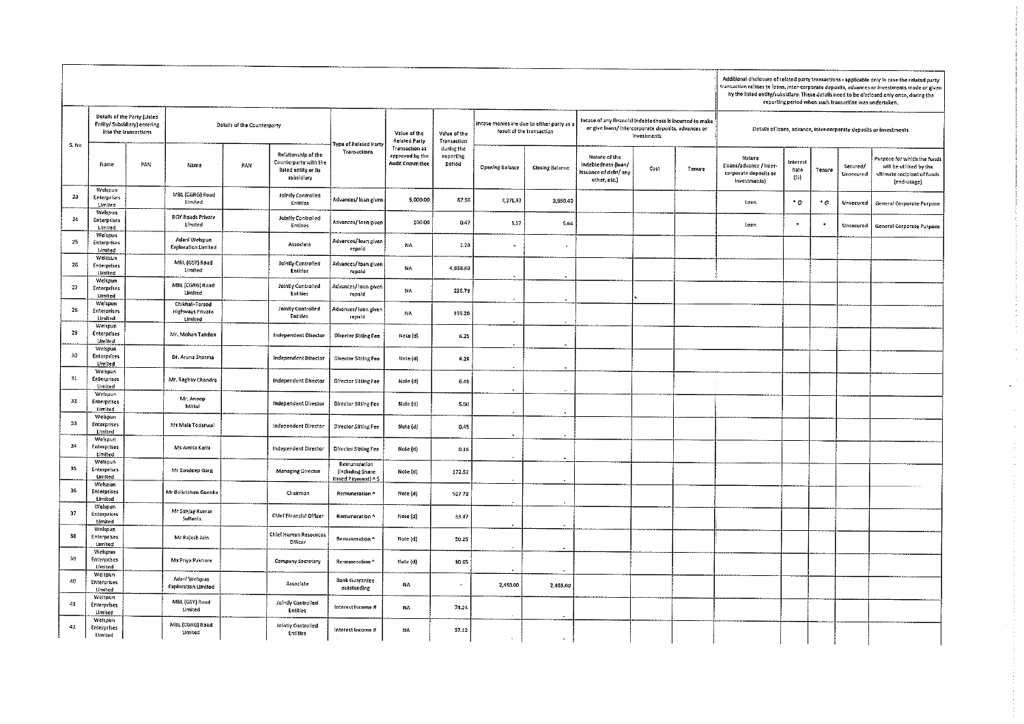|      |                                                                                       |     |                                                |                             |                                                                                    |                                                  |                                                             |                                   |                                                                       |                        |                                                                                                                               |      |        |                                                                            | Additional disclosure of related party transactions - applicable only in case the related party<br>transaction relates to loans, inter-corporate deposits, advances or investments made or given<br>by the listed entity/subsidiary. These details need to be disclosed only once, during the<br>reporting period when such transaction was undertaken. |        |                              |                                                                                                             |  |  |  |
|------|---------------------------------------------------------------------------------------|-----|------------------------------------------------|-----------------------------|------------------------------------------------------------------------------------|--------------------------------------------------|-------------------------------------------------------------|-----------------------------------|-----------------------------------------------------------------------|------------------------|-------------------------------------------------------------------------------------------------------------------------------|------|--------|----------------------------------------------------------------------------|---------------------------------------------------------------------------------------------------------------------------------------------------------------------------------------------------------------------------------------------------------------------------------------------------------------------------------------------------------|--------|------------------------------|-------------------------------------------------------------------------------------------------------------|--|--|--|
| S.No | Details of the Party (Listed<br>Entity/ Subsidiary) entering<br>into the transactions |     |                                                | Details of the Counterparty |                                                                                    |                                                  | Value of the<br><b>Related Party</b>                        | Value of the<br>Transaction       | incase monies are due to either party as<br>result of the transaction |                        | Incase of any financial indebtedness is incurred to make<br>or give loans/intercorporate deposits, advances or<br>Investments |      |        | Details of loans, advance, inter-corporate deposits or investments         |                                                                                                                                                                                                                                                                                                                                                         |        |                              |                                                                                                             |  |  |  |
|      | Name                                                                                  | PAN | Name                                           | PAN                         | Relationship of the<br>Counterparty with the<br>listed entity or its<br>subsidiary | ype of Related Part <sub>)</sub><br>Transactions | Transaction as<br>approved by the<br><b>Audit Committee</b> | during the<br>reporting<br>period | <b>Opening Balance</b>                                                | <b>Closing Balance</b> | Nature of the<br>Indebtedness (loan/<br>issuance of debt/ any<br>other, etc.)                                                 | Cost | Tenure | Nature<br>(loans/advance / inter-<br>corporate deposits or<br>investments} | interest<br>Rate<br>$\{x_n\}$                                                                                                                                                                                                                                                                                                                           | Tenure | Secured/<br><b>Unsecured</b> | <b>Purpose for which the funds</b><br>will be utilised by the<br>ultimate recipient of funds<br>(end-usage) |  |  |  |
| 23   | Welspun<br><b>Enterprises</b><br>Limited                                              |     | MBL (CGRG) Road<br>Limited                     |                             | Jointly Controlled<br>Entitles                                                     | Advances/ loan given                             | 5,000.00                                                    | 87.96                             | 3,271.33                                                              | 3,990.40               |                                                                                                                               |      |        | Loan                                                                       | ۰ø                                                                                                                                                                                                                                                                                                                                                      | ۰ø     | Unsecured                    | General Corporate Purpose                                                                                   |  |  |  |
| 24   | Welspun<br>Enterprises<br>Limited                                                     |     | <b>RGY Roads Private</b><br>Limited            |                             | Jointly Controlled<br><b>Entities</b>                                              | Advances/ loan giver                             | 100.00                                                      | 0.47                              | 5,17                                                                  | 5,64                   |                                                                                                                               |      |        | Loan                                                                       |                                                                                                                                                                                                                                                                                                                                                         |        | Unsecured                    | General Corporate Purpose                                                                                   |  |  |  |
| 25   | Weispun<br>Enterprises<br>United                                                      |     | Adani Welspun<br><b>Exploration Limited</b>    |                             | Associate                                                                          | Advances/loan given<br>repaid                    | NA                                                          | 1.20                              | $\sim$                                                                | $\blacksquare$         |                                                                                                                               |      |        |                                                                            |                                                                                                                                                                                                                                                                                                                                                         |        |                              |                                                                                                             |  |  |  |
| 26   | Weispun<br>Enterprises<br>Umited                                                      |     | MBL (GSY) Road<br>Limited                      |                             | Jointly Controlled<br>Entities                                                     | Advances/ loan given<br>repaid                   | NA                                                          | 4,638.80                          |                                                                       |                        |                                                                                                                               |      |        |                                                                            |                                                                                                                                                                                                                                                                                                                                                         |        |                              |                                                                                                             |  |  |  |
| 27   | Welsoun<br><b>Enterprises</b><br>Limited                                              |     | MBL (CGRG) Road<br>Umited                      |                             | Jointly Controlled<br><b>Entities</b>                                              | Advances/ loan given<br>repaid                   | NA                                                          | 226,79                            |                                                                       |                        |                                                                                                                               |      |        |                                                                            |                                                                                                                                                                                                                                                                                                                                                         |        |                              |                                                                                                             |  |  |  |
| 28   | Welspun<br>Enterprises<br>Limited                                                     |     | Chikhali-Tarsod<br>Highways Private<br>Limited |                             | Jointly Controlled<br><b>Entitles</b>                                              | Advances/ Ioan given<br>repaid                   | NA                                                          | 198.20                            |                                                                       |                        |                                                                                                                               |      |        |                                                                            |                                                                                                                                                                                                                                                                                                                                                         |        |                              |                                                                                                             |  |  |  |
| 29   | Welspun<br>Enterprises<br>Limited                                                     |     | Mr. Mohan Tandon                               |                             | <b>Independent Director</b>                                                        | <b>Director Sitting Fee</b>                      | Note (d)                                                    | 6.25                              |                                                                       |                        |                                                                                                                               |      |        |                                                                            |                                                                                                                                                                                                                                                                                                                                                         |        |                              |                                                                                                             |  |  |  |
| 30   | Welspun<br>Enterprises<br>Umited<br>Weispun                                           |     | Dr. Aruna Sharma                               |                             | Independent Director                                                               | Director Sitting Fee                             | Note (d)                                                    | 6.28                              |                                                                       |                        |                                                                                                                               |      |        |                                                                            |                                                                                                                                                                                                                                                                                                                                                         |        |                              |                                                                                                             |  |  |  |
| 31   | Enterprises<br>Limited<br>Weispun                                                     |     | Mr. Raghav Chandra                             |                             | Independent Director                                                               | Director Sitting Fee                             | Note (d)                                                    | 6.48                              | $\ddot{\phantom{0}}$                                                  |                        |                                                                                                                               |      |        |                                                                            |                                                                                                                                                                                                                                                                                                                                                         |        |                              |                                                                                                             |  |  |  |
| 32   | Enterprises<br>Limited<br>Weispun                                                     |     | M. Ancop<br>Mittal                             |                             | Independent Director                                                               | <b>Director Sitting Fee</b>                      | Note (d)                                                    | 5.00                              | ٠                                                                     |                        |                                                                                                                               |      |        |                                                                            |                                                                                                                                                                                                                                                                                                                                                         |        |                              |                                                                                                             |  |  |  |
| 33   | Enterprises<br>Limited<br>Welspun                                                     |     | Ms Mala Todarwal                               |                             | Independent Director                                                               | <b>Director Sitting Fee</b>                      | Note (d)                                                    | 0.45                              |                                                                       | $\sim$                 |                                                                                                                               |      |        |                                                                            |                                                                                                                                                                                                                                                                                                                                                         |        |                              |                                                                                                             |  |  |  |
| 34   | Enterprises<br>Limited<br>Welspun                                                     |     | Ms Amita Karia                                 |                             | Independent Director                                                               | Director Sitting Fee<br>Remuneration             | Note (d)                                                    | 0.18                              |                                                                       |                        |                                                                                                                               |      |        |                                                                            |                                                                                                                                                                                                                                                                                                                                                         |        |                              |                                                                                                             |  |  |  |
| 35   | Enterprises<br>Limited<br>Welspun                                                     |     | Mr Sandeep Garg                                |                             | Managing Director                                                                  | (Including Share<br>Based Payment) ^ \$          | Note (d)                                                    | 172.52                            |                                                                       |                        |                                                                                                                               |      |        |                                                                            |                                                                                                                                                                                                                                                                                                                                                         |        |                              |                                                                                                             |  |  |  |
| 36   | Enterprises<br>Limited<br>Weispun                                                     |     | Mr Balkrishan Goenka                           |                             | Chairman                                                                           | Remuneration *                                   | Note (d)                                                    | 527.78                            |                                                                       |                        |                                                                                                                               |      |        |                                                                            |                                                                                                                                                                                                                                                                                                                                                         |        |                              |                                                                                                             |  |  |  |
| 37   | Enterprises<br>Limited<br>Weispun                                                     |     | Mr Sanjay Kumar<br>Sultania                    |                             | Chief Financial Officer                                                            | Remuneration ^                                   | Note (d)                                                    | 33,47                             |                                                                       |                        |                                                                                                                               |      |        |                                                                            |                                                                                                                                                                                                                                                                                                                                                         |        |                              |                                                                                                             |  |  |  |
| 38   | <b>Enterprises</b><br>Limited<br>Welsoun                                              |     | Mr Rajesh Jain                                 |                             | <b>Chief Human Resources</b><br>Officer                                            | Remuneration ^                                   | Note (d)                                                    | 50.25                             |                                                                       |                        |                                                                                                                               |      |        |                                                                            |                                                                                                                                                                                                                                                                                                                                                         |        |                              |                                                                                                             |  |  |  |
| 39   | Enterprises<br>Limited<br>Weispun                                                     |     | Ms Priva Pakhare<br>Adani Welspun              |                             | Company Secretary                                                                  | Remuneration <sup>4</sup>                        | Note (d)                                                    | 10.65                             |                                                                       |                        |                                                                                                                               |      |        |                                                                            |                                                                                                                                                                                                                                                                                                                                                         |        |                              |                                                                                                             |  |  |  |
| 40   | Enterprises<br><b>Limited</b><br>Weispun                                              |     | <b>Exploration Limited</b>                     |                             | Associate                                                                          | <b>Bank Guarantee</b><br>outstanding             | tiA                                                         | $\cdot$                           | 2,453.00                                                              | 2,483.00               |                                                                                                                               |      |        |                                                                            |                                                                                                                                                                                                                                                                                                                                                         |        |                              |                                                                                                             |  |  |  |
| 41   | Enterprises<br>limited<br>Welspun                                                     |     | MBL (GSY) Road<br>Limited<br>MBL (CGRG) Road   |                             | Jointly Controlled<br>Entitles                                                     | Interest Income #                                | NA                                                          | 74.24                             |                                                                       |                        |                                                                                                                               |      |        |                                                                            |                                                                                                                                                                                                                                                                                                                                                         |        |                              |                                                                                                             |  |  |  |
| 42   | Enterprises<br>Limited                                                                |     | Limited                                        |                             | Jointly Controlled<br>Entitles                                                     | Interest Income #                                | NΑ                                                          | 37.12                             |                                                                       |                        |                                                                                                                               |      |        |                                                                            |                                                                                                                                                                                                                                                                                                                                                         |        |                              |                                                                                                             |  |  |  |

 $\varphi^{\pm}$ 

 $\frac{1}{2}$ 

 $\begin{bmatrix} 1 \\ 1 \\ 1 \\ 1 \end{bmatrix}$